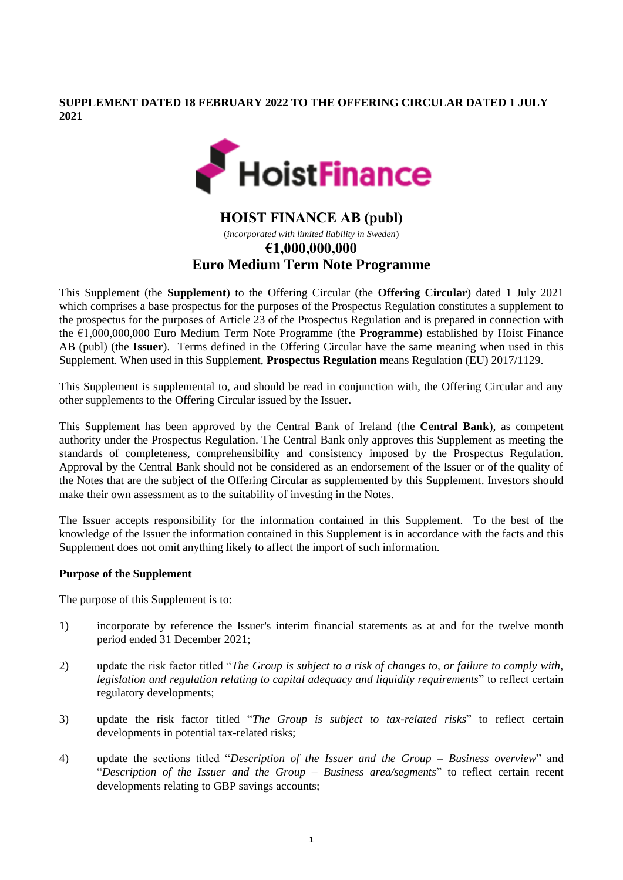**SUPPLEMENT DATED 18 FEBRUARY 2022 TO THE OFFERING CIRCULAR DATED 1 JULY 2021**



# **HOIST FINANCE AB (publ)** (*incorporated with limited liability in Sweden*) **€1,000,000,000 Euro Medium Term Note Programme**

This Supplement (the **Supplement**) to the Offering Circular (the **Offering Circular**) dated 1 July 2021 which comprises a base prospectus for the purposes of the Prospectus Regulation constitutes a supplement to the prospectus for the purposes of Article 23 of the Prospectus Regulation and is prepared in connection with the €1,000,000,000 Euro Medium Term Note Programme (the **Programme**) established by Hoist Finance AB (publ) (the **Issuer**). Terms defined in the Offering Circular have the same meaning when used in this Supplement. When used in this Supplement, **Prospectus Regulation** means Regulation (EU) 2017/1129.

This Supplement is supplemental to, and should be read in conjunction with, the Offering Circular and any other supplements to the Offering Circular issued by the Issuer.

This Supplement has been approved by the Central Bank of Ireland (the **Central Bank**), as competent authority under the Prospectus Regulation. The Central Bank only approves this Supplement as meeting the standards of completeness, comprehensibility and consistency imposed by the Prospectus Regulation. Approval by the Central Bank should not be considered as an endorsement of the Issuer or of the quality of the Notes that are the subject of the Offering Circular as supplemented by this Supplement. Investors should make their own assessment as to the suitability of investing in the Notes.

The Issuer accepts responsibility for the information contained in this Supplement. To the best of the knowledge of the Issuer the information contained in this Supplement is in accordance with the facts and this Supplement does not omit anything likely to affect the import of such information.

### **Purpose of the Supplement**

The purpose of this Supplement is to:

- 1) incorporate by reference the Issuer's interim financial statements as at and for the twelve month period ended 31 December 2021;
- 2) update the risk factor titled "*The Group is subject to a risk of changes to, or failure to comply with, legislation and regulation relating to capital adequacy and liquidity requirements*" to reflect certain regulatory developments;
- 3) update the risk factor titled "*The Group is subject to tax-related risks*" to reflect certain developments in potential tax-related risks;
- 4) update the sections titled "*Description of the Issuer and the Group – Business overview*" and "*Description of the Issuer and the Group – Business area/segments*" to reflect certain recent developments relating to GBP savings accounts;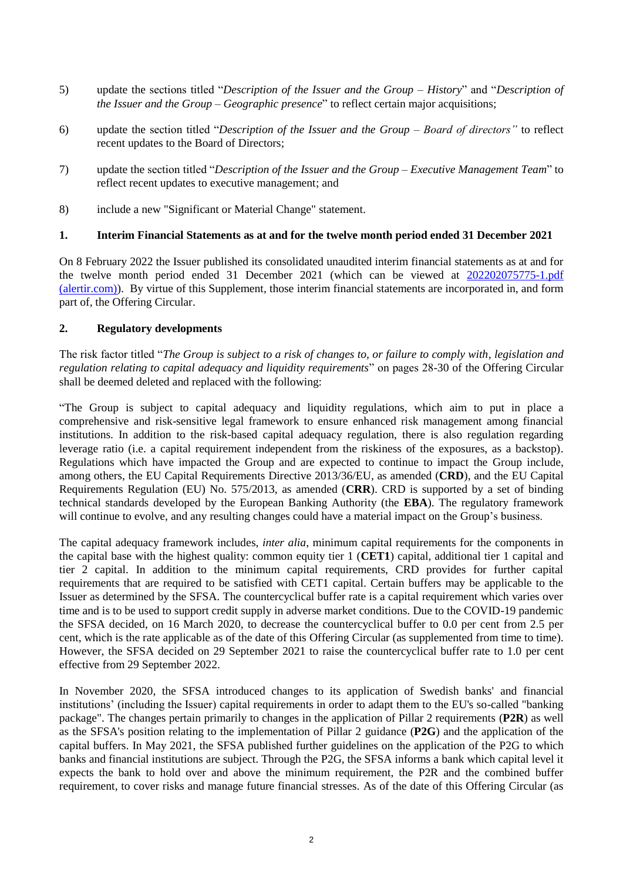- 5) update the sections titled "*Description of the Issuer and the Group – History*" and "*Description of the Issuer and the Group – Geographic presence*" to reflect certain major acquisitions;
- 6) update the section titled "*Description of the Issuer and the Group – Board of directors"* to reflect recent updates to the Board of Directors;
- 7) update the section titled "*Description of the Issuer and the Group – Executive Management Team*" to reflect recent updates to executive management; and
- 8) include a new "Significant or Material Change" statement.

### **1. Interim Financial Statements as at and for the twelve month period ended 31 December 2021**

On 8 February 2022 the Issuer published its consolidated unaudited interim financial statements as at and for the twelve month period ended 31 December 2021 (which can be viewed at [202202075775-1.pdf](https://vp201.alertir.com/afw/files/press/hoist/202202075775-1.pdf)  [\(alertir.com\)\)](https://vp201.alertir.com/afw/files/press/hoist/202202075775-1.pdf). By virtue of this Supplement, those interim financial statements are incorporated in, and form part of, the Offering Circular.

### **2. Regulatory developments**

The risk factor titled "*The Group is subject to a risk of changes to, or failure to comply with, legislation and regulation relating to capital adequacy and liquidity requirements*" on pages 28-30 of the Offering Circular shall be deemed deleted and replaced with the following:

"The Group is subject to capital adequacy and liquidity regulations, which aim to put in place a comprehensive and risk-sensitive legal framework to ensure enhanced risk management among financial institutions. In addition to the risk-based capital adequacy regulation, there is also regulation regarding leverage ratio (i.e. a capital requirement independent from the riskiness of the exposures, as a backstop). Regulations which have impacted the Group and are expected to continue to impact the Group include, among others, the EU Capital Requirements Directive 2013/36/EU, as amended (**CRD**), and the EU Capital Requirements Regulation (EU) No. 575/2013, as amended (**CRR**). CRD is supported by a set of binding technical standards developed by the European Banking Authority (the **EBA**). The regulatory framework will continue to evolve, and any resulting changes could have a material impact on the Group's business.

The capital adequacy framework includes, *inter alia*, minimum capital requirements for the components in the capital base with the highest quality: common equity tier 1 (**CET1**) capital, additional tier 1 capital and tier 2 capital. In addition to the minimum capital requirements, CRD provides for further capital requirements that are required to be satisfied with CET1 capital. Certain buffers may be applicable to the Issuer as determined by the SFSA. The countercyclical buffer rate is a capital requirement which varies over time and is to be used to support credit supply in adverse market conditions. Due to the COVID-19 pandemic the SFSA decided, on 16 March 2020, to decrease the countercyclical buffer to 0.0 per cent from 2.5 per cent, which is the rate applicable as of the date of this Offering Circular (as supplemented from time to time). However, the SFSA decided on 29 September 2021 to raise the countercyclical buffer rate to 1.0 per cent effective from 29 September 2022.

In November 2020, the SFSA introduced changes to its application of Swedish banks' and financial institutions' (including the Issuer) capital requirements in order to adapt them to the EU's so-called "banking package". The changes pertain primarily to changes in the application of Pillar 2 requirements (**P2R**) as well as the SFSA's position relating to the implementation of Pillar 2 guidance (**P2G**) and the application of the capital buffers. In May 2021, the SFSA published further guidelines on the application of the P2G to which banks and financial institutions are subject. Through the P2G, the SFSA informs a bank which capital level it expects the bank to hold over and above the minimum requirement, the P2R and the combined buffer requirement, to cover risks and manage future financial stresses. As of the date of this Offering Circular (as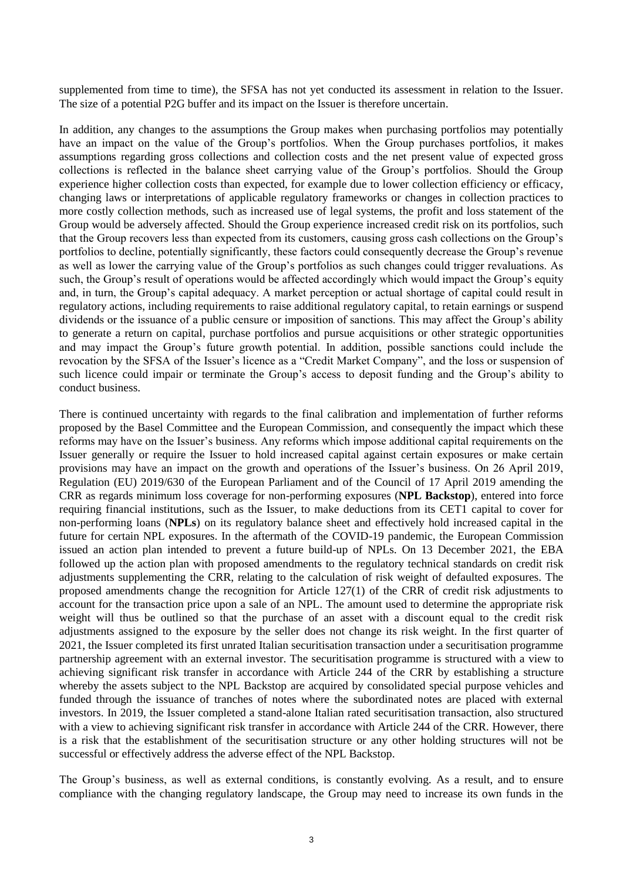supplemented from time to time), the SFSA has not yet conducted its assessment in relation to the Issuer. The size of a potential P2G buffer and its impact on the Issuer is therefore uncertain.

In addition, any changes to the assumptions the Group makes when purchasing portfolios may potentially have an impact on the value of the Group's portfolios. When the Group purchases portfolios, it makes assumptions regarding gross collections and collection costs and the net present value of expected gross collections is reflected in the balance sheet carrying value of the Group's portfolios. Should the Group experience higher collection costs than expected, for example due to lower collection efficiency or efficacy, changing laws or interpretations of applicable regulatory frameworks or changes in collection practices to more costly collection methods, such as increased use of legal systems, the profit and loss statement of the Group would be adversely affected. Should the Group experience increased credit risk on its portfolios, such that the Group recovers less than expected from its customers, causing gross cash collections on the Group's portfolios to decline, potentially significantly, these factors could consequently decrease the Group's revenue as well as lower the carrying value of the Group's portfolios as such changes could trigger revaluations. As such, the Group's result of operations would be affected accordingly which would impact the Group's equity and, in turn, the Group's capital adequacy. A market perception or actual shortage of capital could result in regulatory actions, including requirements to raise additional regulatory capital, to retain earnings or suspend dividends or the issuance of a public censure or imposition of sanctions. This may affect the Group's ability to generate a return on capital, purchase portfolios and pursue acquisitions or other strategic opportunities and may impact the Group's future growth potential. In addition, possible sanctions could include the revocation by the SFSA of the Issuer's licence as a "Credit Market Company", and the loss or suspension of such licence could impair or terminate the Group's access to deposit funding and the Group's ability to conduct business.

There is continued uncertainty with regards to the final calibration and implementation of further reforms proposed by the Basel Committee and the European Commission, and consequently the impact which these reforms may have on the Issuer's business. Any reforms which impose additional capital requirements on the Issuer generally or require the Issuer to hold increased capital against certain exposures or make certain provisions may have an impact on the growth and operations of the Issuer's business. On 26 April 2019, Regulation (EU) 2019/630 of the European Parliament and of the Council of 17 April 2019 amending the CRR as regards minimum loss coverage for non-performing exposures (**NPL Backstop**), entered into force requiring financial institutions, such as the Issuer, to make deductions from its CET1 capital to cover for non-performing loans (**NPLs**) on its regulatory balance sheet and effectively hold increased capital in the future for certain NPL exposures. In the aftermath of the COVID-19 pandemic, the European Commission issued an action plan intended to prevent a future build-up of NPLs. On 13 December 2021, the EBA followed up the action plan with proposed amendments to the regulatory technical standards on credit risk adjustments supplementing the CRR, relating to the calculation of risk weight of defaulted exposures. The proposed amendments change the recognition for Article 127(1) of the CRR of credit risk adjustments to account for the transaction price upon a sale of an NPL. The amount used to determine the appropriate risk weight will thus be outlined so that the purchase of an asset with a discount equal to the credit risk adjustments assigned to the exposure by the seller does not change its risk weight. In the first quarter of 2021, the Issuer completed its first unrated Italian securitisation transaction under a securitisation programme partnership agreement with an external investor. The securitisation programme is structured with a view to achieving significant risk transfer in accordance with Article 244 of the CRR by establishing a structure whereby the assets subject to the NPL Backstop are acquired by consolidated special purpose vehicles and funded through the issuance of tranches of notes where the subordinated notes are placed with external investors. In 2019, the Issuer completed a stand-alone Italian rated securitisation transaction, also structured with a view to achieving significant risk transfer in accordance with Article 244 of the CRR. However, there is a risk that the establishment of the securitisation structure or any other holding structures will not be successful or effectively address the adverse effect of the NPL Backstop.

The Group's business, as well as external conditions, is constantly evolving. As a result, and to ensure compliance with the changing regulatory landscape, the Group may need to increase its own funds in the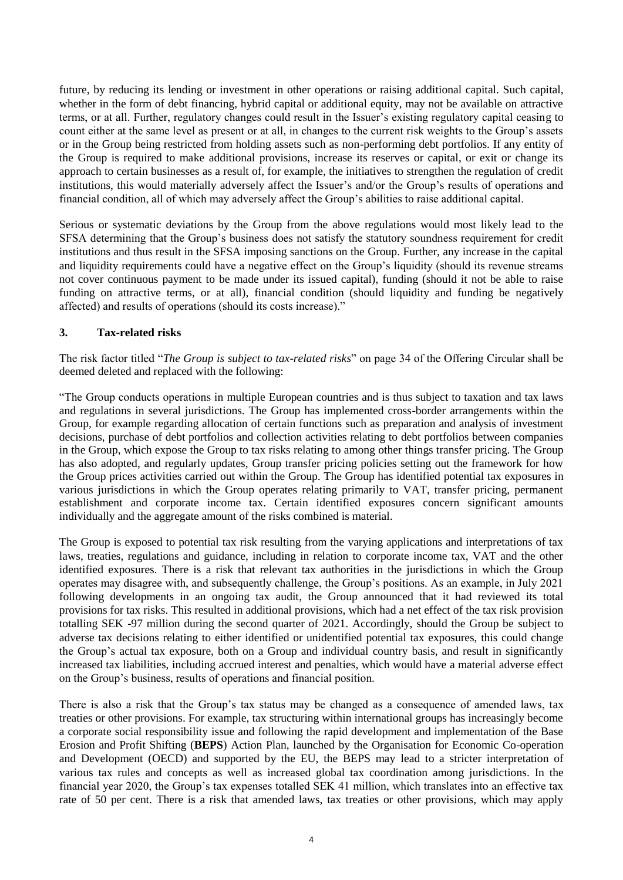future, by reducing its lending or investment in other operations or raising additional capital. Such capital, whether in the form of debt financing, hybrid capital or additional equity, may not be available on attractive terms, or at all. Further, regulatory changes could result in the Issuer's existing regulatory capital ceasing to count either at the same level as present or at all, in changes to the current risk weights to the Group's assets or in the Group being restricted from holding assets such as non-performing debt portfolios. If any entity of the Group is required to make additional provisions, increase its reserves or capital, or exit or change its approach to certain businesses as a result of, for example, the initiatives to strengthen the regulation of credit institutions, this would materially adversely affect the Issuer's and/or the Group's results of operations and financial condition, all of which may adversely affect the Group's abilities to raise additional capital.

Serious or systematic deviations by the Group from the above regulations would most likely lead to the SFSA determining that the Group's business does not satisfy the statutory soundness requirement for credit institutions and thus result in the SFSA imposing sanctions on the Group. Further, any increase in the capital and liquidity requirements could have a negative effect on the Group's liquidity (should its revenue streams not cover continuous payment to be made under its issued capital), funding (should it not be able to raise funding on attractive terms, or at all), financial condition (should liquidity and funding be negatively affected) and results of operations (should its costs increase)."

## **3. Tax-related risks**

The risk factor titled "*The Group is subject to tax-related risks*" on page 34 of the Offering Circular shall be deemed deleted and replaced with the following:

"The Group conducts operations in multiple European countries and is thus subject to taxation and tax laws and regulations in several jurisdictions. The Group has implemented cross-border arrangements within the Group, for example regarding allocation of certain functions such as preparation and analysis of investment decisions, purchase of debt portfolios and collection activities relating to debt portfolios between companies in the Group, which expose the Group to tax risks relating to among other things transfer pricing. The Group has also adopted, and regularly updates, Group transfer pricing policies setting out the framework for how the Group prices activities carried out within the Group. The Group has identified potential tax exposures in various jurisdictions in which the Group operates relating primarily to VAT, transfer pricing, permanent establishment and corporate income tax. Certain identified exposures concern significant amounts individually and the aggregate amount of the risks combined is material.

The Group is exposed to potential tax risk resulting from the varying applications and interpretations of tax laws, treaties, regulations and guidance, including in relation to corporate income tax, VAT and the other identified exposures. There is a risk that relevant tax authorities in the jurisdictions in which the Group operates may disagree with, and subsequently challenge, the Group's positions. As an example, in July 2021 following developments in an ongoing tax audit, the Group announced that it had reviewed its total provisions for tax risks. This resulted in additional provisions, which had a net effect of the tax risk provision totalling SEK -97 million during the second quarter of 2021. Accordingly, should the Group be subject to adverse tax decisions relating to either identified or unidentified potential tax exposures, this could change the Group's actual tax exposure, both on a Group and individual country basis, and result in significantly increased tax liabilities, including accrued interest and penalties, which would have a material adverse effect on the Group's business, results of operations and financial position.

There is also a risk that the Group's tax status may be changed as a consequence of amended laws, tax treaties or other provisions. For example, tax structuring within international groups has increasingly become a corporate social responsibility issue and following the rapid development and implementation of the Base Erosion and Profit Shifting (**BEPS**) Action Plan, launched by the Organisation for Economic Co-operation and Development (OECD) and supported by the EU, the BEPS may lead to a stricter interpretation of various tax rules and concepts as well as increased global tax coordination among jurisdictions. In the financial year 2020, the Group's tax expenses totalled SEK 41 million, which translates into an effective tax rate of 50 per cent. There is a risk that amended laws, tax treaties or other provisions, which may apply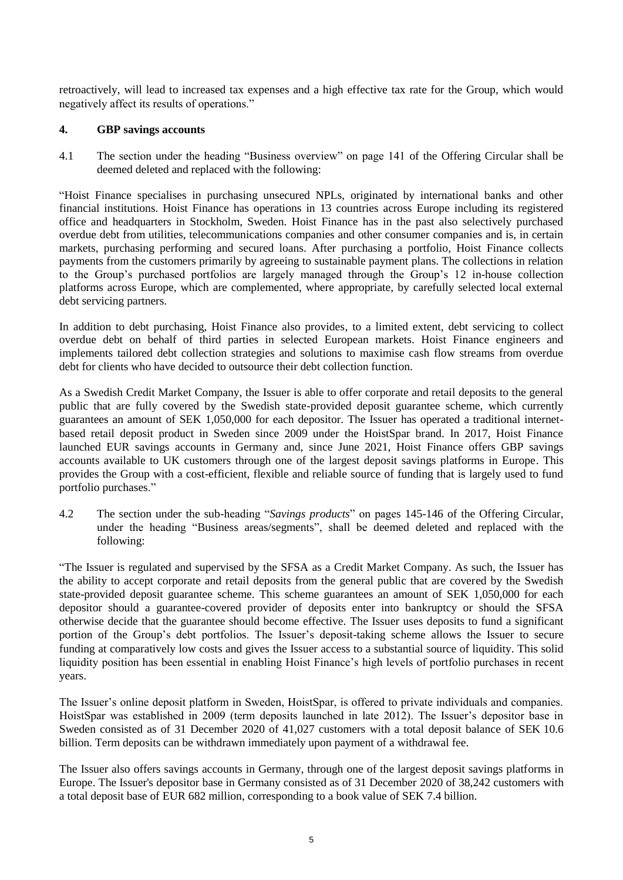retroactively, will lead to increased tax expenses and a high effective tax rate for the Group, which would negatively affect its results of operations."

### **4. GBP savings accounts**

4.1 The section under the heading "Business overview" on page 141 of the Offering Circular shall be deemed deleted and replaced with the following:

"Hoist Finance specialises in purchasing unsecured NPLs, originated by international banks and other financial institutions. Hoist Finance has operations in 13 countries across Europe including its registered office and headquarters in Stockholm, Sweden. Hoist Finance has in the past also selectively purchased overdue debt from utilities, telecommunications companies and other consumer companies and is, in certain markets, purchasing performing and secured loans. After purchasing a portfolio, Hoist Finance collects payments from the customers primarily by agreeing to sustainable payment plans. The collections in relation to the Group's purchased portfolios are largely managed through the Group's 12 in-house collection platforms across Europe, which are complemented, where appropriate, by carefully selected local external debt servicing partners.

In addition to debt purchasing, Hoist Finance also provides, to a limited extent, debt servicing to collect overdue debt on behalf of third parties in selected European markets. Hoist Finance engineers and implements tailored debt collection strategies and solutions to maximise cash flow streams from overdue debt for clients who have decided to outsource their debt collection function.

As a Swedish Credit Market Company, the Issuer is able to offer corporate and retail deposits to the general public that are fully covered by the Swedish state-provided deposit guarantee scheme, which currently guarantees an amount of SEK 1,050,000 for each depositor. The Issuer has operated a traditional internetbased retail deposit product in Sweden since 2009 under the HoistSpar brand. In 2017, Hoist Finance launched EUR savings accounts in Germany and, since June 2021, Hoist Finance offers GBP savings accounts available to UK customers through one of the largest deposit savings platforms in Europe. This provides the Group with a cost-efficient, flexible and reliable source of funding that is largely used to fund portfolio purchases."

4.2 The section under the sub-heading "*Savings products*" on pages 145-146 of the Offering Circular, under the heading "Business areas/segments", shall be deemed deleted and replaced with the following:

"The Issuer is regulated and supervised by the SFSA as a Credit Market Company. As such, the Issuer has the ability to accept corporate and retail deposits from the general public that are covered by the Swedish state-provided deposit guarantee scheme. This scheme guarantees an amount of SEK 1,050,000 for each depositor should a guarantee-covered provider of deposits enter into bankruptcy or should the SFSA otherwise decide that the guarantee should become effective. The Issuer uses deposits to fund a significant portion of the Group's debt portfolios. The Issuer's deposit-taking scheme allows the Issuer to secure funding at comparatively low costs and gives the Issuer access to a substantial source of liquidity. This solid liquidity position has been essential in enabling Hoist Finance's high levels of portfolio purchases in recent years.

The Issuer's online deposit platform in Sweden, HoistSpar, is offered to private individuals and companies. HoistSpar was established in 2009 (term deposits launched in late 2012). The Issuer's depositor base in Sweden consisted as of 31 December 2020 of 41,027 customers with a total deposit balance of SEK 10.6 billion. Term deposits can be withdrawn immediately upon payment of a withdrawal fee.

The Issuer also offers savings accounts in Germany, through one of the largest deposit savings platforms in Europe. The Issuer's depositor base in Germany consisted as of 31 December 2020 of 38,242 customers with a total deposit base of EUR 682 million, corresponding to a book value of SEK 7.4 billion.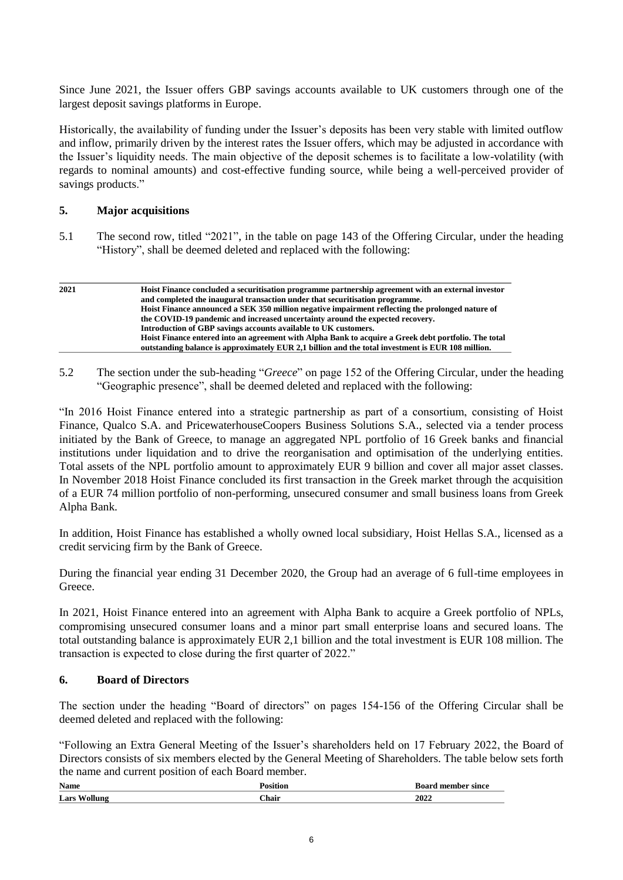Since June 2021, the Issuer offers GBP savings accounts available to UK customers through one of the largest deposit savings platforms in Europe.

Historically, the availability of funding under the Issuer's deposits has been very stable with limited outflow and inflow, primarily driven by the interest rates the Issuer offers, which may be adjusted in accordance with the Issuer's liquidity needs. The main objective of the deposit schemes is to facilitate a low-volatility (with regards to nominal amounts) and cost-effective funding source, while being a well-perceived provider of savings products."

#### **5. Major acquisitions**

5.1 The second row, titled "2021", in the table on page 143 of the Offering Circular, under the heading "History", shall be deemed deleted and replaced with the following:

| 2021 | Hoist Finance concluded a securitisation programme partnership agreement with an external investor<br>and completed the inaugural transaction under that securitisation programme. |
|------|------------------------------------------------------------------------------------------------------------------------------------------------------------------------------------|
|      |                                                                                                                                                                                    |
|      | Hoist Finance announced a SEK 350 million negative impairment reflecting the prolonged nature of                                                                                   |
|      | the COVID-19 pandemic and increased uncertainty around the expected recovery.                                                                                                      |
|      | Introduction of GBP savings accounts available to UK customers.                                                                                                                    |
|      | Hoist Finance entered into an agreement with Alpha Bank to acquire a Greek debt portfolio. The total                                                                               |
|      | outstanding balance is approximately EUR 2.1 billion and the total investment is EUR 108 million.                                                                                  |

5.2 The section under the sub-heading "*Greece*" on page 152 of the Offering Circular, under the heading "Geographic presence", shall be deemed deleted and replaced with the following:

"In 2016 Hoist Finance entered into a strategic partnership as part of a consortium, consisting of Hoist Finance, Qualco S.A. and PricewaterhouseCoopers Business Solutions S.A., selected via a tender process initiated by the Bank of Greece, to manage an aggregated NPL portfolio of 16 Greek banks and financial institutions under liquidation and to drive the reorganisation and optimisation of the underlying entities. Total assets of the NPL portfolio amount to approximately EUR 9 billion and cover all major asset classes. In November 2018 Hoist Finance concluded its first transaction in the Greek market through the acquisition of a EUR 74 million portfolio of non-performing, unsecured consumer and small business loans from Greek Alpha Bank.

In addition, Hoist Finance has established a wholly owned local subsidiary, Hoist Hellas S.A., licensed as a credit servicing firm by the Bank of Greece.

During the financial year ending 31 December 2020, the Group had an average of 6 full-time employees in Greece.

In 2021, Hoist Finance entered into an agreement with Alpha Bank to acquire a Greek portfolio of NPLs, compromising unsecured consumer loans and a minor part small enterprise loans and secured loans. The total outstanding balance is approximately EUR 2,1 billion and the total investment is EUR 108 million. The transaction is expected to close during the first quarter of 2022."

#### **6. Board of Directors**

The section under the heading "Board of directors" on pages 154-156 of the Offering Circular shall be deemed deleted and replaced with the following:

"Following an Extra General Meeting of the Issuer's shareholders held on 17 February 2022, the Board of Directors consists of six members elected by the General Meeting of Shareholders. The table below sets forth the name and current position of each Board member.

| $\sim$<br><b>Name</b> |              | <b>L</b> oomd<br>member since |
|-----------------------|--------------|-------------------------------|
| Lars                  | <b>Chair</b> | 2022                          |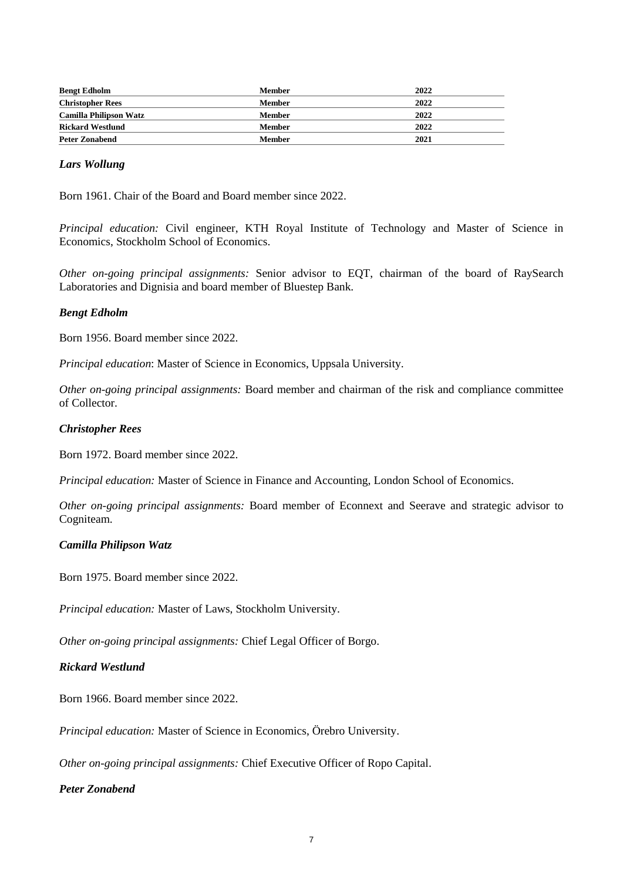| <b>Bengt Edholm</b>           | Member        | 2022 |
|-------------------------------|---------------|------|
| <b>Christopher Rees</b>       | Member        | 2022 |
| <b>Camilla Philipson Watz</b> | Member        | 2022 |
| <b>Rickard Westlund</b>       | <b>Member</b> | 2022 |
| <b>Peter Zonabend</b>         | Member        | 2021 |

### *Lars Wollung*

Born 1961. Chair of the Board and Board member since 2022.

*Principal education:* Civil engineer, KTH Royal Institute of Technology and Master of Science in Economics, Stockholm School of Economics.

*Other on-going principal assignments:* Senior advisor to EQT, chairman of the board of RaySearch Laboratories and Dignisia and board member of Bluestep Bank.

#### *Bengt Edholm*

Born 1956. Board member since 2022.

*Principal education*: Master of Science in Economics, Uppsala University.

*Other on-going principal assignments:* Board member and chairman of the risk and compliance committee of Collector.

## *Christopher Rees*

Born 1972. Board member since 2022.

*Principal education:* Master of Science in Finance and Accounting, London School of Economics.

*Other on-going principal assignments:* Board member of Econnext and Seerave and strategic advisor to Cogniteam.

#### *Camilla Philipson Watz*

Born 1975. Board member since 2022.

*Principal education:* Master of Laws, Stockholm University.

*Other on-going principal assignments:* Chief Legal Officer of Borgo.

### *Rickard Westlund*

Born 1966. Board member since 2022.

*Principal education:* Master of Science in Economics, Örebro University.

*Other on-going principal assignments:* Chief Executive Officer of Ropo Capital.

### *Peter Zonabend*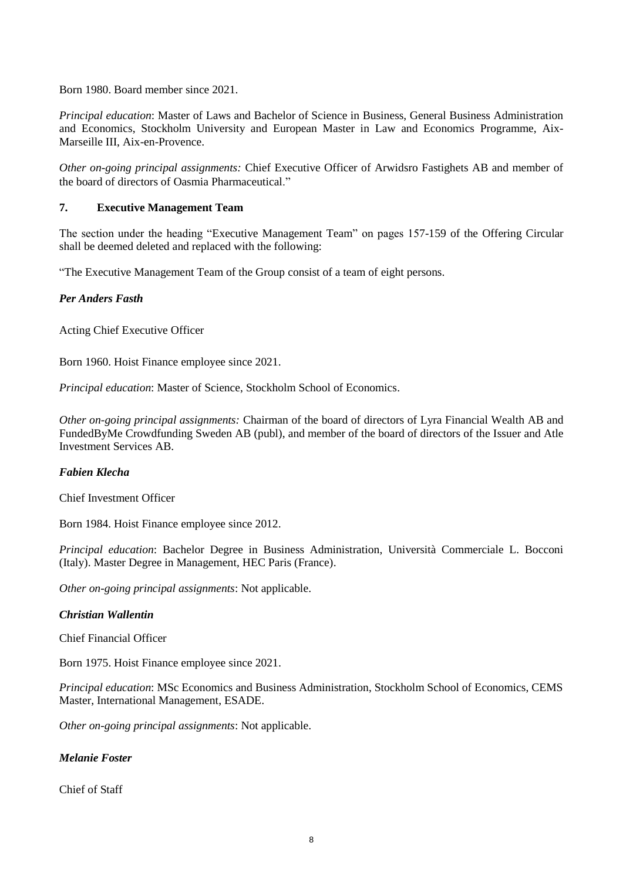Born 1980. Board member since 2021.

*Principal education*: Master of Laws and Bachelor of Science in Business, General Business Administration and Economics, Stockholm University and European Master in Law and Economics Programme, Aix-Marseille III, Aix-en-Provence.

*Other on-going principal assignments:* Chief Executive Officer of Arwidsro Fastighets AB and member of the board of directors of Oasmia Pharmaceutical."

## **7. Executive Management Team**

The section under the heading "Executive Management Team" on pages 157-159 of the Offering Circular shall be deemed deleted and replaced with the following:

"The Executive Management Team of the Group consist of a team of eight persons.

## *Per Anders Fasth*

Acting Chief Executive Officer

Born 1960. Hoist Finance employee since 2021.

*Principal education*: Master of Science, Stockholm School of Economics.

*Other on-going principal assignments:* Chairman of the board of directors of Lyra Financial Wealth AB and FundedByMe Crowdfunding Sweden AB (publ), and member of the board of directors of the Issuer and Atle Investment Services AB.

### *Fabien Klecha*

Chief Investment Officer

Born 1984. Hoist Finance employee since 2012.

*Principal education*: Bachelor Degree in Business Administration, Università Commerciale L. Bocconi (Italy). Master Degree in Management, HEC Paris (France).

*Other on-going principal assignments*: Not applicable.

### *Christian Wallentin*

Chief Financial Officer

Born 1975. Hoist Finance employee since 2021.

*Principal education*: MSc Economics and Business Administration, Stockholm School of Economics, CEMS Master, International Management, ESADE.

*Other on-going principal assignments*: Not applicable.

### *Melanie Foster*

Chief of Staff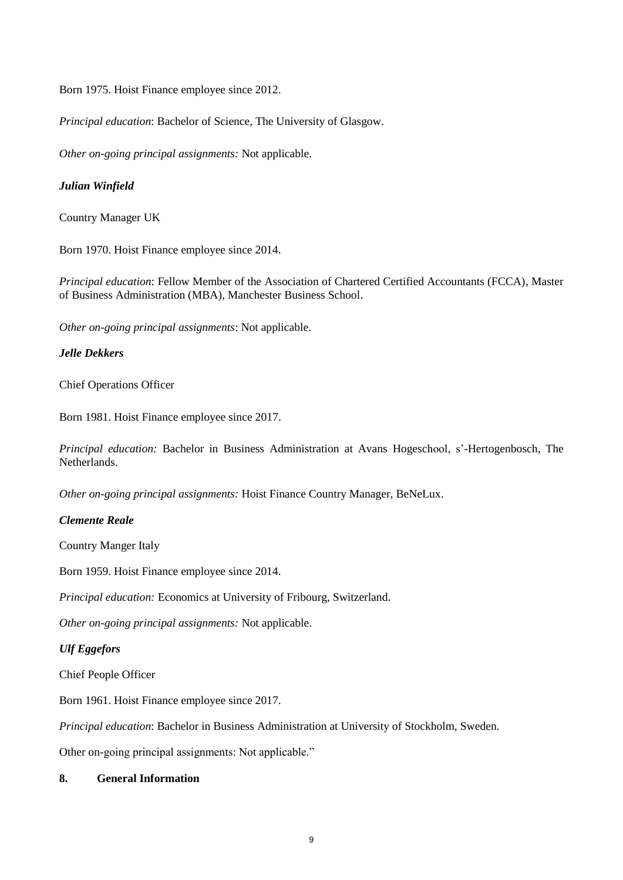Born 1975. Hoist Finance employee since 2012.

*Principal education*: Bachelor of Science, The University of Glasgow.

*Other on-going principal assignments:* Not applicable.

## *Julian Winfield*

Country Manager UK

Born 1970. Hoist Finance employee since 2014.

*Principal education*: Fellow Member of the Association of Chartered Certified Accountants (FCCA), Master of Business Administration (MBA), Manchester Business School.

*Other on-going principal assignments*: Not applicable.

## *Jelle Dekkers*

Chief Operations Officer

Born 1981. Hoist Finance employee since 2017.

*Principal education:* Bachelor in Business Administration at Avans Hogeschool, s'-Hertogenbosch, The Netherlands.

*Other on-going principal assignments:* Hoist Finance Country Manager, BeNeLux.

### *Clemente Reale*

Country Manger Italy

Born 1959. Hoist Finance employee since 2014.

*Principal education:* Economics at University of Fribourg, Switzerland.

*Other on-going principal assignments:* Not applicable.

## *Ulf Eggefors*

Chief People Officer

Born 1961. Hoist Finance employee since 2017.

*Principal education*: Bachelor in Business Administration at University of Stockholm, Sweden.

Other on-going principal assignments: Not applicable."

### **8. General Information**